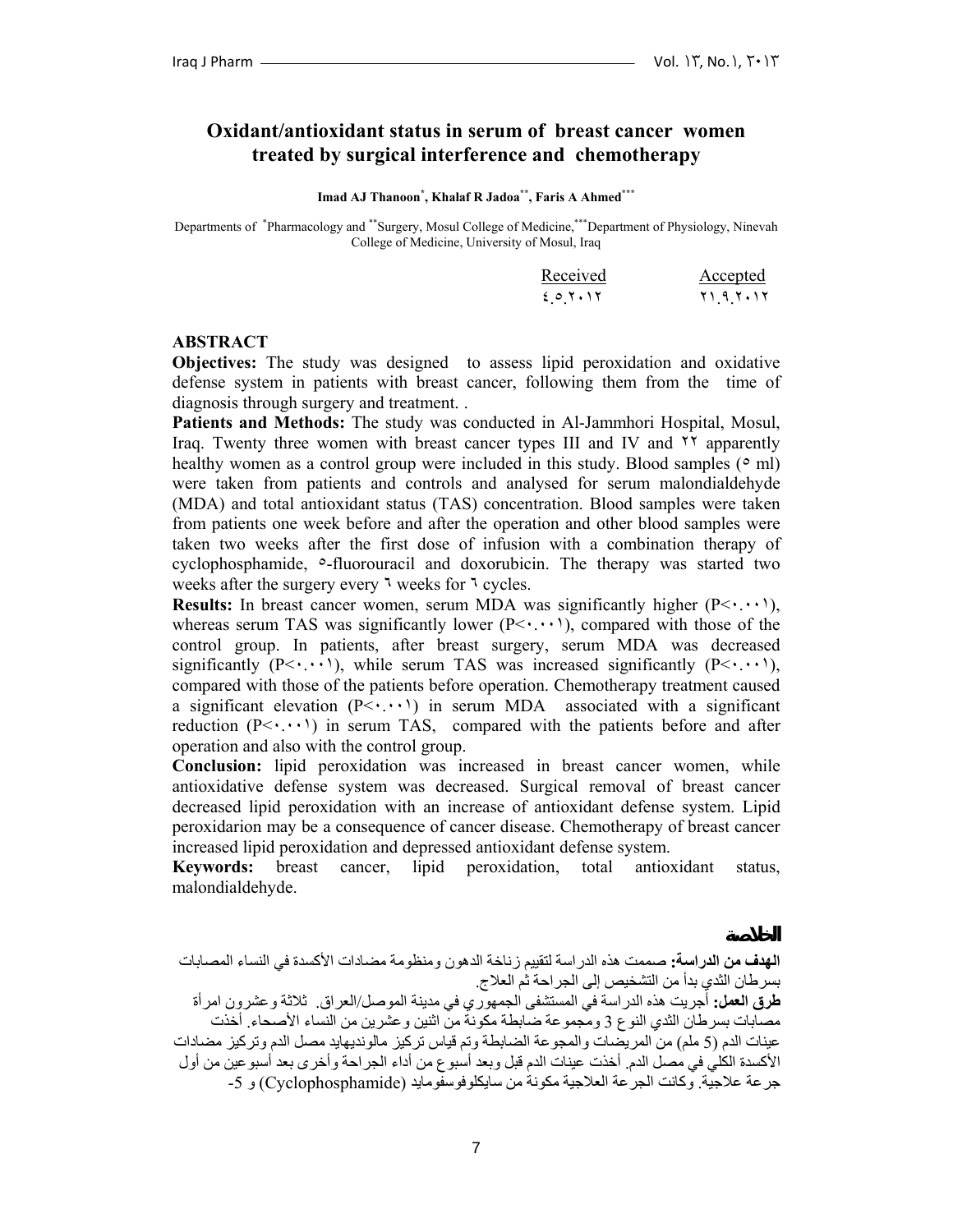# **Oxidant/antioxidant status in serum of breast cancer women treated by surgical interference and chemotherapy**

**Imad AJ Thanoon\* , Khalaf R Jadoa\*\*, Faris A Ahmed\*\*\***

Departments of \* Pharmacology and \*\*Surgery, Mosul College of Medicine,\*\*\*Department of Physiology, Ninevah College of Medicine, University of Mosul, Iraq

| Received | Accepted         |
|----------|------------------|
| 603.15   | ۲۱ ۹ ۲۰۱۲<br>. . |

### **ABSTRACT**

**Objectives:** The study was designed to assess lipid peroxidation and oxidative defense system in patients with breast cancer, following them from the time of diagnosis through surgery and treatment. .

**Patients and Methods:** The study was conducted in Al-Jammhori Hospital, Mosul, Iraq. Twenty three women with breast cancer types III and IV and ٢٢ apparently healthy women as a control group were included in this study. Blood samples  $(° \text{ ml})$ were taken from patients and controls and analysed for serum malondialdehyde (MDA) and total antioxidant status (TAS) concentration. Blood samples were taken from patients one week before and after the operation and other blood samples were taken two weeks after the first dose of infusion with a combination therapy of cyclophosphamide, ٥-fluorouracil and doxorubicin. The therapy was started two weeks after the surgery every ٦ weeks for ٦ cycles.

**Results:** In breast cancer women, serum MDA was significantly higher  $(P \leq \cdot \cdot \cdot)$ , whereas serum TAS was significantly lower  $(P \leq \cdots)$ , compared with those of the control group. In patients, after breast surgery, serum MDA was decreased significantly ( $P \le \cdot \cdot \cdot \cdot$ ), while serum TAS was increased significantly ( $P \le \cdot \cdot \cdot \cdot$ ), compared with those of the patients before operation. Chemotherapy treatment caused a significant elevation  $(P \leq \cdots)$  in serum MDA associated with a significant reduction  $(P \leq \cdots)$  in serum TAS, compared with the patients before and after operation and also with the control group.

**Conclusion:** lipid peroxidation was increased in breast cancer women, while antioxidative defense system was decreased. Surgical removal of breast cancer decreased lipid peroxidation with an increase of antioxidant defense system. Lipid peroxidarion may be a consequence of cancer disease. Chemotherapy of breast cancer increased lipid peroxidation and depressed antioxidant defense system.

**Keywords:** breast cancer, lipid peroxidation, total antioxidant status, malondialdehyde.

**طرق العمل:** أجريت هذه الدراسة في المستشفى الجمهوري في مدينة الموصل/العراق. ثلاثة وعشرون امرأة مصابات بسرطان الثدي النوع 3 ومجموعة ضابطة مكونة من اثنين وعشرين من النساء الأصحاء. أخذت عينات الدم (5 ملم) من المريضات والمجوعة الضابطة وتم قياس تركيز مالونديهايد مصل الدم وتركيز مضادات الأآسدة الكلي في مصل الدم. أخذت عينات الدم قبل وبعد أسبوع من أداء الجراحة وأخرى بعد أسبوعين من أول جرعة علاجية. وكانت الجرعة العلاجية مكونة من سايكلوفوسفومايد (Cyclophosphamide) و 5-

**الهدف من الدراسة:** صممت هذه الدراسة لتقييم زناخة الدهون ومنظومة مضادات الأآسدة في النساء المصابات بسرطان الثدي بدأ من التشخيص إلى الجراحة ثم العلاج.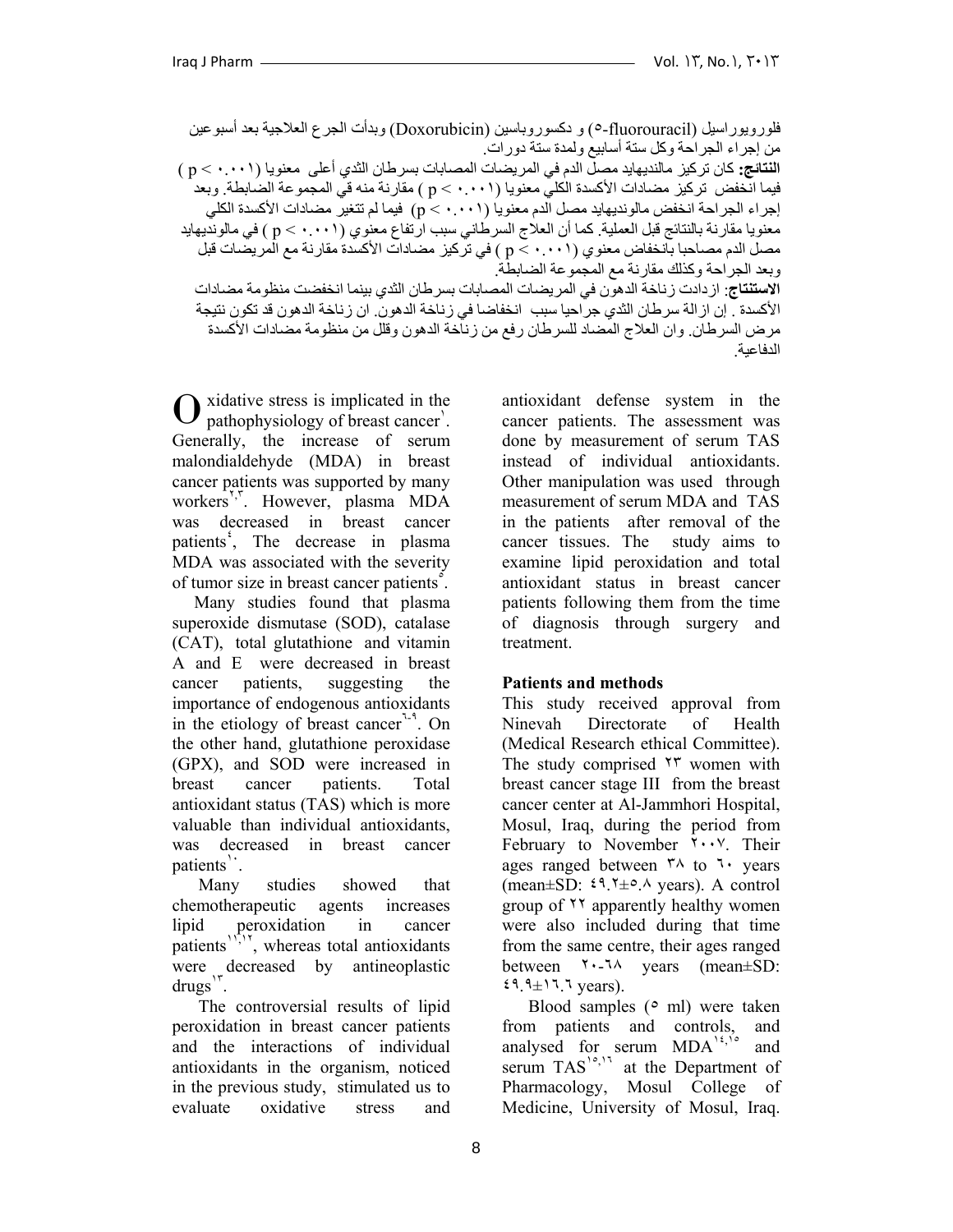فلورويوراسيل (fluorouracil٥- (و دآسوروباسين (Doxorubicin (وبدأت الجرع العلاجية بعد أسبوعين من إجراء الجراحة وكل ستة أسابيع ولمدة ستة دورات. **النتائج:** آان ترآيز مالنديهايد مصل الدم في المريضات المصابات بسرطان الثدي أعلى معنويا (٠.٠٠١ > p ( فيما انخفض تركيز مضادات الأكسدة الكليّ معنويا (٠.٠٠١ ) م] ) مقارنة منه قي المجموعة الضابطة. وبعد إجراء الجراحة انخفض مالونديهايد مصل الدم معنويا (٠.٠٠١ > p (فيما لم تتغير مضادات الأآسدة الكلي معنويا مقارنة بالنتائج قبل العملية. كما أن العلاج السرطاني سبب ارتفاع معنوي (p < ٠.٠١ ) في مالونديهايد مصل الدم مصاحبا بانخفاض معنوي (٠.٠٠١ ) من تركيز مضادات الأكسدة مقارنة مع المريضات قبل وبعد الجراحة وكذلك مقارنة مع المجموعة الضابطة. **الاستنتاج**: ازدادت زناخة الدهون في المريضات المصابات بسرطان الثدي بينما انخفضت منظومة مضادات الأآسدة . إن ازالة سرطان الثدي جراحيا سبب انخفاضا في زناخة الدهون. ان زناخة الدهون قد تكون نتيجة مرض السرطان. وان العلاج المضاد للسرطان رفع من زناخة الدهون وقلل من منظومة مضادات الأآسدة الدفاعية.

xidative stress is implicated in the Opathophysiology of breast cancer<sup>'</sup>. Generally, the increase of serum malondialdehyde (MDA) in breast cancer patients was supported by many workers<sup>r, r</sup>. However, plasma MDA was decreased in breast cancer patients<sup>*'*</sup>, The decrease in plasma MDA was associated with the severity of tumor size in breast cancer patients<sup>5</sup>.

 Many studies found that plasma superoxide dismutase (SOD), catalase (CAT), total glutathione and vitamin A and E were decreased in breast cancer patients, suggesting the importance of endogenous antioxidants in the etiology of breast cancer<sup>7-9</sup>. On the other hand, glutathione peroxidase (GPX), and SOD were increased in breast cancer patients. Total antioxidant status (TAS) which is more valuable than individual antioxidants, was decreased in breast cancer patients<sup>1</sup>.

 Many studies showed that chemotherapeutic agents increases lipid peroxidation in cancer patients<sup> $17,17$ </sup>, whereas total antioxidants were decreased by antineoplastic drugs<sup>'r</sup>.

 The controversial results of lipid peroxidation in breast cancer patients and the interactions of individual antioxidants in the organism, noticed in the previous study, stimulated us to evaluate oxidative stress and

antioxidant defense system in the cancer patients. The assessment was done by measurement of serum TAS instead of individual antioxidants. Other manipulation was used through measurement of serum MDA and TAS in the patients after removal of the cancer tissues. The study aims to examine lipid peroxidation and total antioxidant status in breast cancer patients following them from the time of diagnosis through surgery and treatment.

# **Patients and methods**

This study received approval from Ninevah Directorate of Health (Medical Research ethical Committee). The study comprised ٢٣ women with breast cancer stage III from the breast cancer center at Al-Jammhori Hospital, Mosul, Iraq, during the period from February to November ٢٠٠٧. Their ages ranged between  $\lambda$  to  $\lambda$  years (mean $\pm$ SD:  $\zeta$ ۹.  $\zeta$ + $\rightarrow$ .  $\wedge$  years). A control group of ٢٢ apparently healthy women were also included during that time from the same centre, their ages ranged between ٢٠-٦٨ years (mean±SD:  $\mathfrak{t}$ ۹.  $\mathfrak{t}$  $\pm$  1  $\mathfrak{t}$   $\mathfrak{y}$  vears).

Blood samples  $(° \text{ ml})$  were taken from patients and controls, and analysed for serum  $MDA^{16}$ , and serum TAS<sup>10,17</sup> at the Department of Pharmacology, Mosul College of Medicine, University of Mosul, Iraq.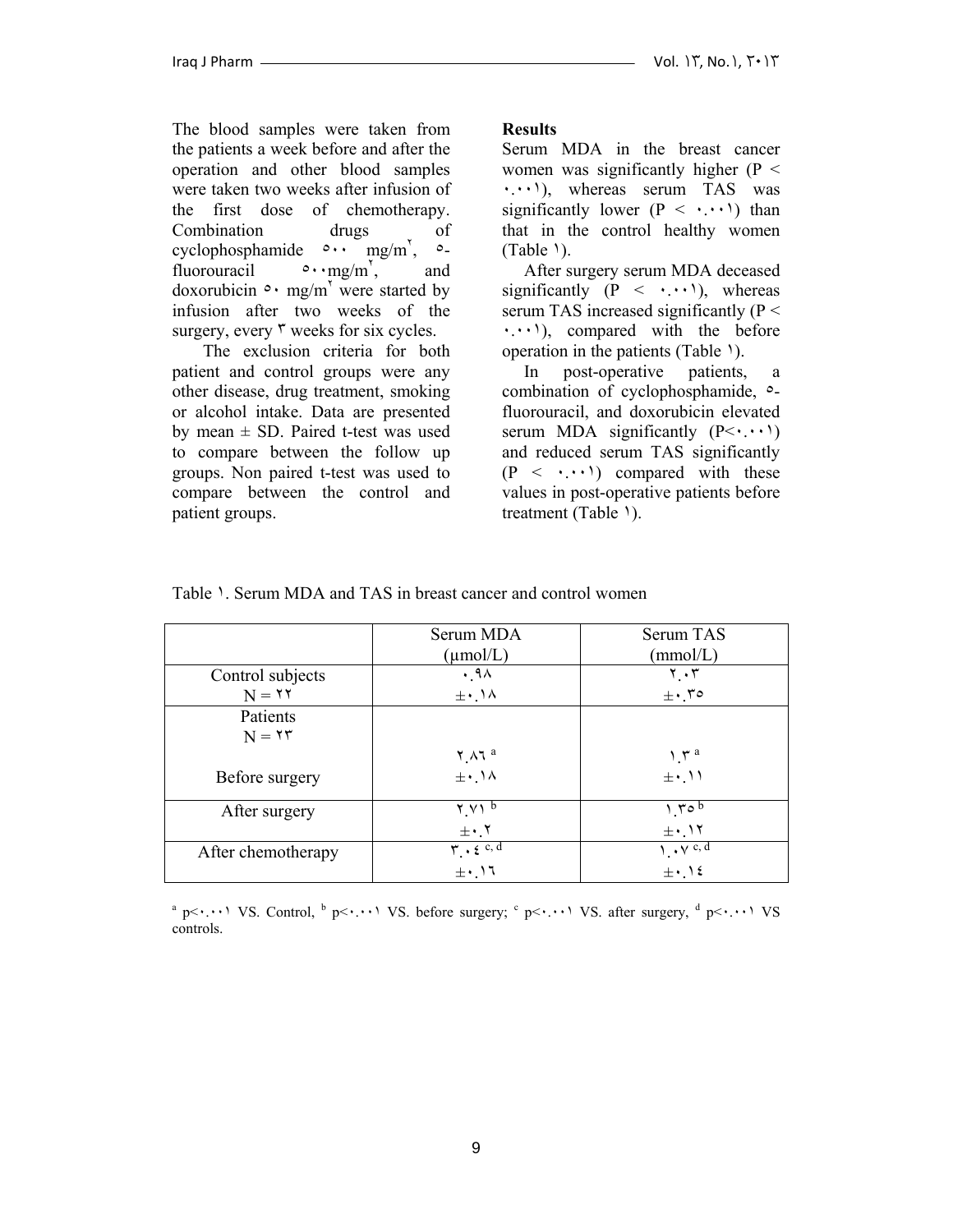The blood samples were taken from the patients a week before and after the operation and other blood samples were taken two weeks after infusion of the first dose of chemotherapy. Combination drugs of cyclophosphamide  $\circ \cdot \cdot$  mg/m',  $\circ$ fluorouracil  $\sim \text{mg/m}^7$ , , and doxorubicin  $\circ \cdot$  mg/m<sup>'</sup> were started by infusion after two weeks of the surgery, every  $\mathbf{v}$  weeks for six cycles.

 The exclusion criteria for both patient and control groups were any other disease, drug treatment, smoking or alcohol intake. Data are presented by mean  $\pm$  SD. Paired t-test was used to compare between the follow up groups. Non paired t-test was used to compare between the control and patient groups.

## **Results**

Serum MDA in the breast cancer women was significantly higher ( $P <$ ٠.٠٠١), whereas serum TAS was significantly lower  $(P \leq \cdot, \cdot, \cdot)$  than that in the control healthy women  $(Table)$ ).

 After surgery serum MDA deceased significantly  $(P \leq \cdots)$ , whereas serum TAS increased significantly  $(P <$  $\cdot \cdot \cdot$ , compared with the before operation in the patients (Table ١).

 In post-operative patients, a combination of cyclophosphamide, ٥ fluorouracil, and doxorubicin elevated serum MDA significantly  $(P< \cdot \cdot \cdot)$ and reduced serum TAS significantly  $(P \leq \cdot \cdot \cdot)$  compared with these values in post-operative patients before treatment (Table 1).

|                    | Serum MDA                                                     | Serum TAS                     |
|--------------------|---------------------------------------------------------------|-------------------------------|
|                    | $(\mu \text{mol}/L)$                                          | (mmol/L)                      |
| Control subjects   | .9 <sub>A</sub>                                               | $\mathbf{Y} \cdot \mathbf{Y}$ |
| $N = 11$           | $\pm \cdot$ . $\wedge$                                        | $\pm$ .70                     |
| Patients           |                                                               |                               |
| $N = 17$           |                                                               |                               |
|                    | $Y \wedge 7^a$                                                | $\gamma^{\mu}$                |
| Before surgery     | $\pm \cdot$ . $\lambda$                                       | $\pm \cdot$ 11                |
| After surgery      | $Y.V1^b$                                                      | 1.50b                         |
|                    | $\pm \cdot$ . $\mathbf{Y}$                                    | $\pm$ $\cdot$ $\cdot$ $\in$   |
| After chemotherapy | $\mathbf{r} \cdot \mathbf{\epsilon}^{\mathrm{c}, \mathrm{d}}$ | $\sqrt{v^{c,d}}$              |
|                    | $\pm$ .17                                                     | $\pm$ . 12                    |

Table 1. Serum MDA and TAS in breast cancer and control women

<sup>a</sup> p $\lt\cdots$ <sup>1</sup> VS. Control, <sup>b</sup> p $\lt\cdots$ <sup>1</sup> VS. before surgery; <sup>c</sup> p $\lt\cdots$ <sup>1</sup> VS. after surgery, <sup>d</sup> p $\lt\cdots$ <sup>1</sup> VS controls.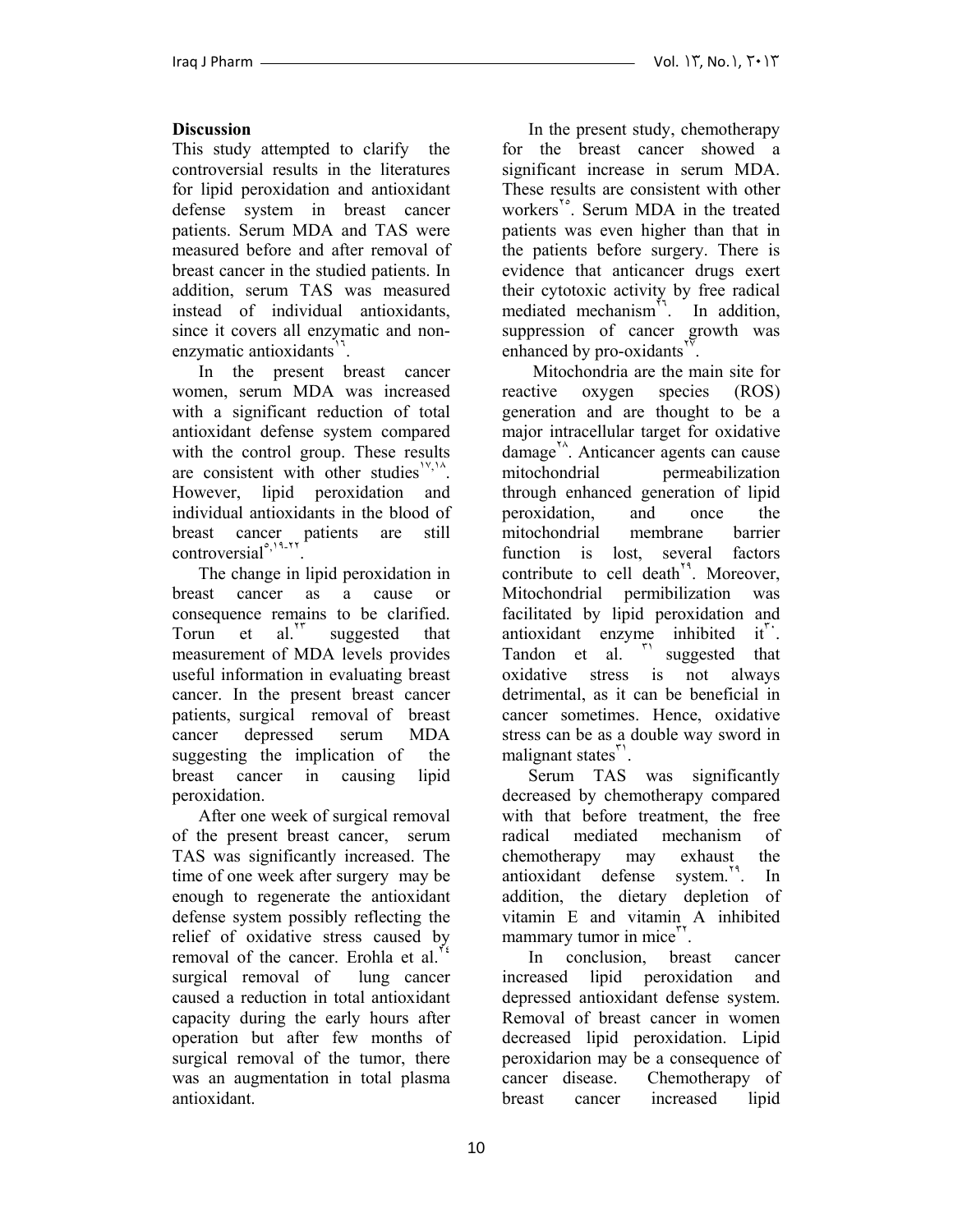# **Discussion**

This study attempted to clarify the controversial results in the literatures for lipid peroxidation and antioxidant defense system in breast cancer patients. Serum MDA and TAS were measured before and after removal of breast cancer in the studied patients. In addition, serum TAS was measured instead of individual antioxidants, since it covers all enzymatic and nonenzymatic antioxidants<sup>11</sup>.

 In the present breast cancer women, serum MDA was increased with a significant reduction of total antioxidant defense system compared with the control group. These results are consistent with other studies<sup> $14,14$ </sup>. However, lipid peroxidation and individual antioxidants in the blood of breast cancer patients are still  $control^{\circ, 11-\gamma\gamma}$ .

 The change in lipid peroxidation in breast cancer as a cause or consequence remains to be clarified. Torun et al.<sup>17</sup> suggested that measurement of MDA levels provides useful information in evaluating breast cancer. In the present breast cancer patients, surgical removal of breast cancer depressed serum MDA suggesting the implication of the breast cancer in causing lipid peroxidation.

 After one week of surgical removal of the present breast cancer, serum TAS was significantly increased. The time of one week after surgery may be enough to regenerate the antioxidant defense system possibly reflecting the relief of oxidative stress caused by removal of the cancer. Erohla et al. surgical removal of lung cancer caused a reduction in total antioxidant capacity during the early hours after operation but after few months of surgical removal of the tumor, there was an augmentation in total plasma antioxidant.

 In the present study, chemotherapy for the breast cancer showed a significant increase in serum MDA. These results are consistent with other workers<sup>1°</sup>. Serum MDA in the treated patients was even higher than that in the patients before surgery. There is evidence that anticancer drugs exert their cytotoxic activity by free radical mediated mechanism<sup>11</sup>. In addition, suppression of cancer growth was enhanced by pro-oxidants<sup>"</sup>.

 Mitochondria are the main site for reactive oxygen species (ROS) generation and are thought to be a major intracellular target for oxidative  $\mu$ damage<sup> $\lambda$ </sup>. Anticancer agents can cause mitochondrial permeabilization through enhanced generation of lipid peroxidation, and once the mitochondrial membrane barrier function is lost, several factors contribute to cell death<sup> $14$ </sup>. Moreover, Mitochondrial permibilization was facilitated by lipid peroxidation and antioxidant enzyme inhibited  $it^{\dagger}$ . Tandon et al. "Suggested that oxidative stress is not always detrimental, as it can be beneficial in cancer sometimes. Hence, oxidative stress can be as a double way sword in malignant states".

 Serum TAS was significantly decreased by chemotherapy compared with that before treatment, the free radical mediated mechanism of chemotherapy may exhaust the antioxidant defense system.<sup>19</sup>. In addition, the dietary depletion of vitamin E and vitamin A inhibited mammary tumor in mice<sup>"\*</sup>.

 In conclusion, breast cancer increased lipid peroxidation and depressed antioxidant defense system. Removal of breast cancer in women decreased lipid peroxidation. Lipid peroxidarion may be a consequence of cancer disease. Chemotherapy of breast cancer increased lipid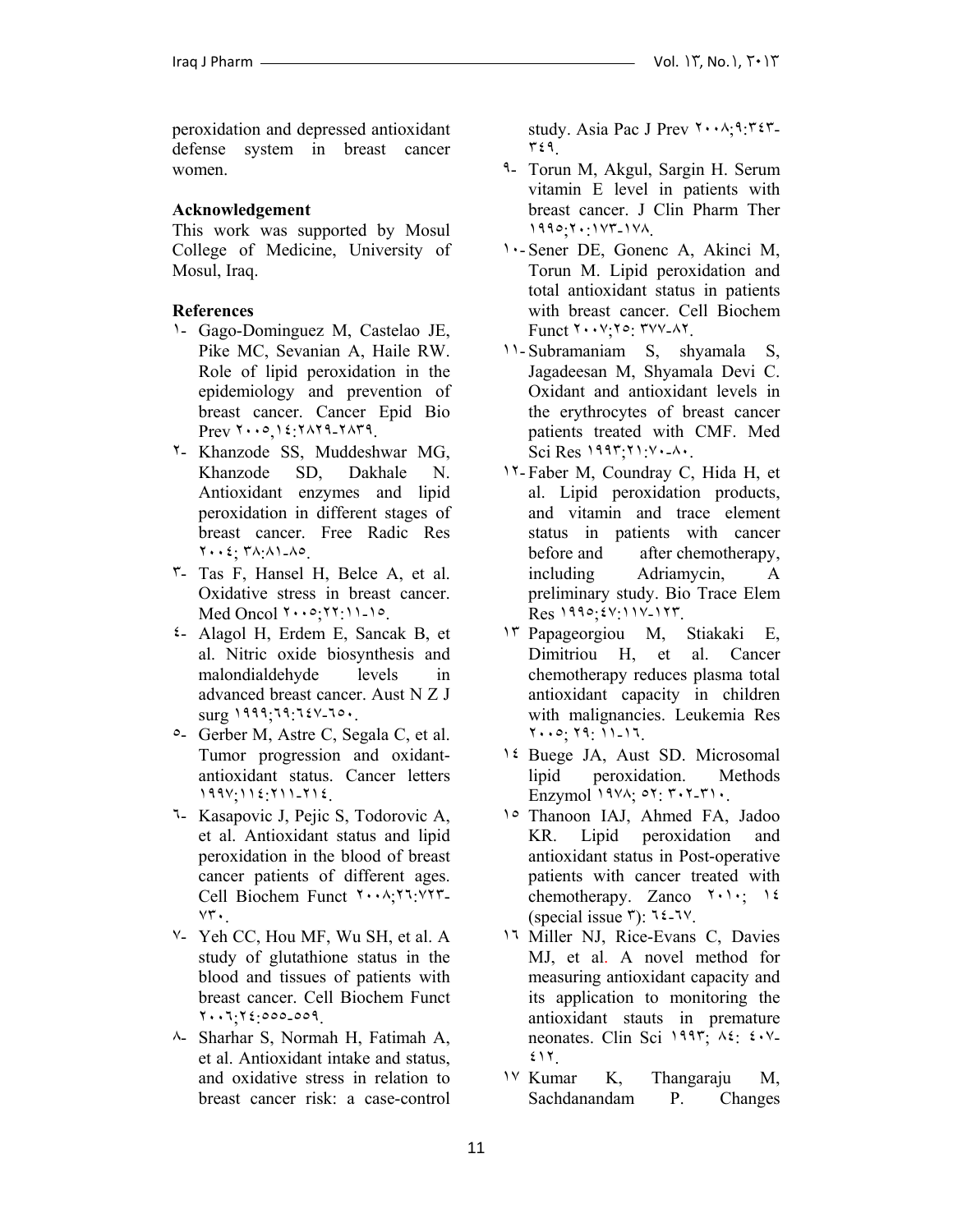peroxidation and depressed antioxidant defense system in breast cancer women.

### **Acknowledgement**

This work was supported by Mosul College of Medicine, University of Mosul, Iraq.

### **References**

- ١- Gago-Dominguez M, Castelao JE, Pike MC, Sevanian A, Haile RW. Role of lipid peroxidation in the epidemiology and prevention of breast cancer. Cancer Epid Bio Prev ٢٠٠٥,١٤:٢٨٢٩-٢٨٣٩.
- ٢- Khanzode SS, Muddeshwar MG, Khanzode SD, Dakhale N. Antioxidant enzymes and lipid peroxidation in different stages of breast cancer. Free Radic Res ٢٠٠٤; ٣٨:٨١-٨٥.
- ٣- Tas F, Hansel H, Belce A, et al. Oxidative stress in breast cancer. Med Oncol ٢٠٠٥;٢٢:١١-١٥.
- ٤- Alagol H, Erdem E, Sancak B, et al. Nitric oxide biosynthesis and malondialdehyde levels in advanced breast cancer. Aust N Z J surg ١٩٩٩;٦٩:٦٤٧-٦٥٠.
- ٥- Gerber M, Astre C, Segala C, et al. Tumor progression and oxidantantioxidant status. Cancer letters ١٩٩٧;١١٤:٢١١-٢١٤.
- ٦- Kasapovic J, Pejic S, Todorovic A, et al. Antioxidant status and lipid peroxidation in the blood of breast cancer patients of different ages. Cell Biochem Funct ٢٠٠٨;٢٦:٧٢٣- ٧٣٠.
- ٧- Yeh CC, Hou MF, Wu SH, et al. A study of glutathione status in the blood and tissues of patients with breast cancer. Cell Biochem Funct ٢٠٠٦;٢٤:٥٥٥-٥٥٩.
- ٨- Sharhar S, Normah H, Fatimah A, et al. Antioxidant intake and status, and oxidative stress in relation to breast cancer risk: a case-control

study. Asia Pac J Prev ٢٠٠٨;٩:٣٤٣- ٣٤٩.

- ٩- Torun M, Akgul, Sargin H. Serum vitamin E level in patients with breast cancer. J Clin Pharm Ther ١٩٩٥;٢٠:١٧٣-١٧٨.
- ١٠- Sener DE, Gonenc A, Akinci M, Torun M. Lipid peroxidation and total antioxidant status in patients with breast cancer. Cell Biochem Funct ٢٠٠٧;٢٥: ٣٧٧-٨٢.
- ١١- Subramaniam S, shyamala S, Jagadeesan M, Shyamala Devi C. Oxidant and antioxidant levels in the erythrocytes of breast cancer patients treated with CMF. Med Sci Res ١٩٩٣;٢١:٧٠-٨٠.
- ١٢- Faber M, Coundray C, Hida H, et al. Lipid peroxidation products, and vitamin and trace element status in patients with cancer before and after chemotherapy, including Adriamycin, A preliminary study. Bio Trace Elem Res ١٩٩٥;٤٧:١١٧-١٢٣.
- ١٣ Papageorgiou M, Stiakaki E, Dimitriou H, et al. Cancer chemotherapy reduces plasma total antioxidant capacity in children with malignancies. Leukemia Res ٢٠٠٥; ٢٩: ١١-١٦.
- ١٤ Buege JA, Aust SD. Microsomal lipid peroxidation. Methods Enzymol ١٩٧٨; ٥٢: ٣٠٢-٣١٠.
- ١٥ Thanoon IAJ, Ahmed FA, Jadoo KR. Lipid peroxidation and antioxidant status in Post-operative patients with cancer treated with chemotherapy. Zanco ٢٠١٠; ١٤ (special issue  $\mathbf{r}$ ):  $\mathbf{t}$  =  $\mathbf{t}$  $\mathbf{v}$ .
- ١٦ Miller NJ, Rice-Evans C, Davies MJ, et al. A novel method for measuring antioxidant capacity and its application to monitoring the antioxidant stauts in premature neonates. Clin Sci ١٩٩٣; ٨٤: ٤٠٧- ٤١٢.
- ١٧ Kumar K, Thangaraju M, Sachdanandam P. Changes